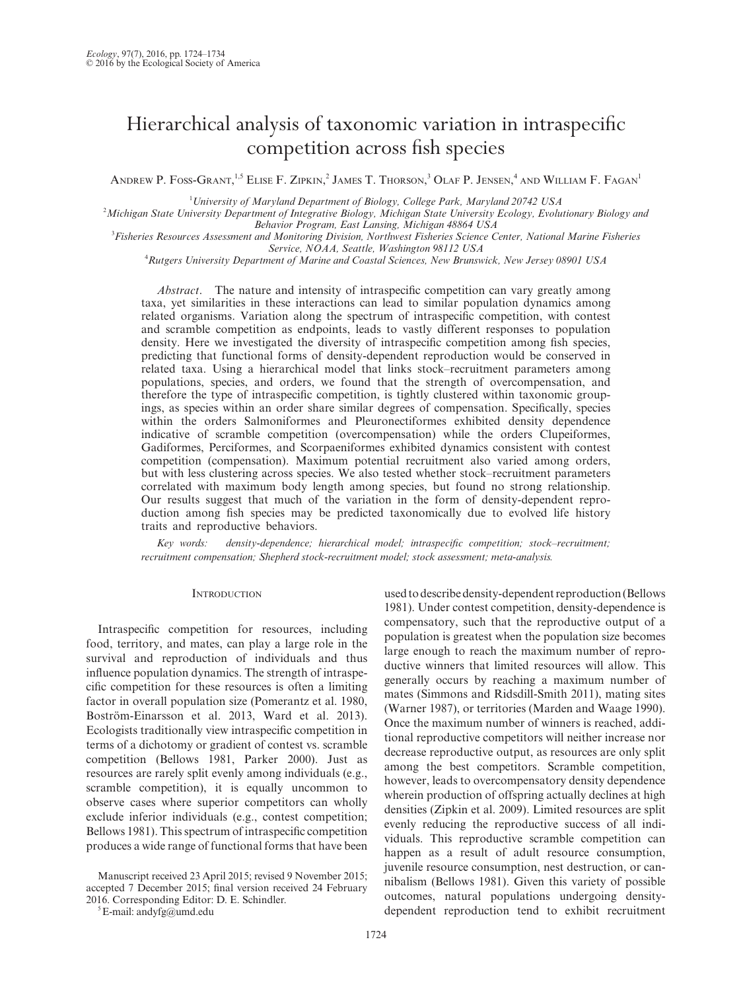# Hierarchical analysis of taxonomic variation in intraspecific competition across fish species

Andrew P. Foss-Grant, <sup>1,5</sup> Elise F. Zipkin,<sup>2</sup> James T. Thorson,<sup>3</sup> Olaf P. Jensen,<sup>4</sup> and William F. Fagan<sup>1</sup>

1 *University of Maryland Department of Biology, College Park, Maryland 20742 USA*

2 *Michigan State University Department of Integrative Biology, Michigan State University Ecology, Evolutionary Biology and Behavior Program, East Lansing, Michigan 48864 USA*

3 *Fisheries Resources Assessment and Monitoring Division, Northwest Fisheries Science Center, National Marine Fisheries Service, NOAA, Seattle, Washington 98112 USA*

4 *Rutgers University Department of Marine and Coastal Sciences, New Brunswick, New Jersey 08901 USA*

*Abstract*. The nature and intensity of intraspecific competition can vary greatly among taxa, yet similarities in these interactions can lead to similar population dynamics among related organisms. Variation along the spectrum of intraspecific competition, with contest and scramble competition as endpoints, leads to vastly different responses to population density. Here we investigated the diversity of intraspecific competition among fish species, predicting that functional forms of density-dependent reproduction would be conserved in related taxa. Using a hierarchical model that links stock–recruitment parameters among populations, species, and orders, we found that the strength of overcompensation, and therefore the type of intraspecific competition, is tightly clustered within taxonomic groupings, as species within an order share similar degrees of compensation. Specifically, species within the orders Salmoniformes and Pleuronectiformes exhibited density dependence indicative of scramble competition (overcompensation) while the orders Clupeiformes, Gadiformes, Perciformes, and Scorpaeniformes exhibited dynamics consistent with contest competition (compensation). Maximum potential recruitment also varied among orders, but with less clustering across species. We also tested whether stock–recruitment parameters correlated with maximum body length among species, but found no strong relationship. Our results suggest that much of the variation in the form of density-dependent reproduction among fish species may be predicted taxonomically due to evolved life history traits and reproductive behaviors.

*Key words: density-dependence; hierarchical model; intraspecific competition; stock–recruitment; recruitment compensation; Shepherd stock-recruitment model; stock assessment; meta-analysis.*

# **INTRODUCTION**

Intraspecific competition for resources, including food, territory, and mates, can play a large role in the survival and reproduction of individuals and thus influence population dynamics. The strength of intraspecific competition for these resources is often a limiting factor in overall population size (Pomerantz et al. 1980, Boström-Einarsson et al. 2013, Ward et al. 2013). Ecologists traditionally view intraspecific competition in terms of a dichotomy or gradient of contest vs. scramble competition (Bellows 1981, Parker 2000). Just as resources are rarely split evenly among individuals (e.g., scramble competition), it is equally uncommon to observe cases where superior competitors can wholly exclude inferior individuals (e.g., contest competition; Bellows 1981). This spectrum of intraspecific competition produces a wide range of functional forms that have been

 ${}^{5}$ E-mail: [andyfg@umd.edu](mailto:andyfg@umd.edu)

used to describe density-dependent reproduction (Bellows 1981). Under contest competition, density-dependence is compensatory, such that the reproductive output of a population is greatest when the population size becomes large enough to reach the maximum number of reproductive winners that limited resources will allow. This generally occurs by reaching a maximum number of mates (Simmons and Ridsdill-Smith 2011), mating sites (Warner 1987), or territories (Marden and Waage 1990). Once the maximum number of winners is reached, additional reproductive competitors will neither increase nor decrease reproductive output, as resources are only split among the best competitors. Scramble competition, however, leads to overcompensatory density dependence wherein production of offspring actually declines at high densities (Zipkin et al. 2009). Limited resources are split evenly reducing the reproductive success of all individuals. This reproductive scramble competition can happen as a result of adult resource consumption, juvenile resource consumption, nest destruction, or cannibalism (Bellows 1981). Given this variety of possible outcomes, natural populations undergoing densitydependent reproduction tend to exhibit recruitment

Manuscript received 23 April 2015; revised 9 November 2015; accepted 7 December 2015; final version received 24 February 2016. Corresponding Editor: D. E. Schindler.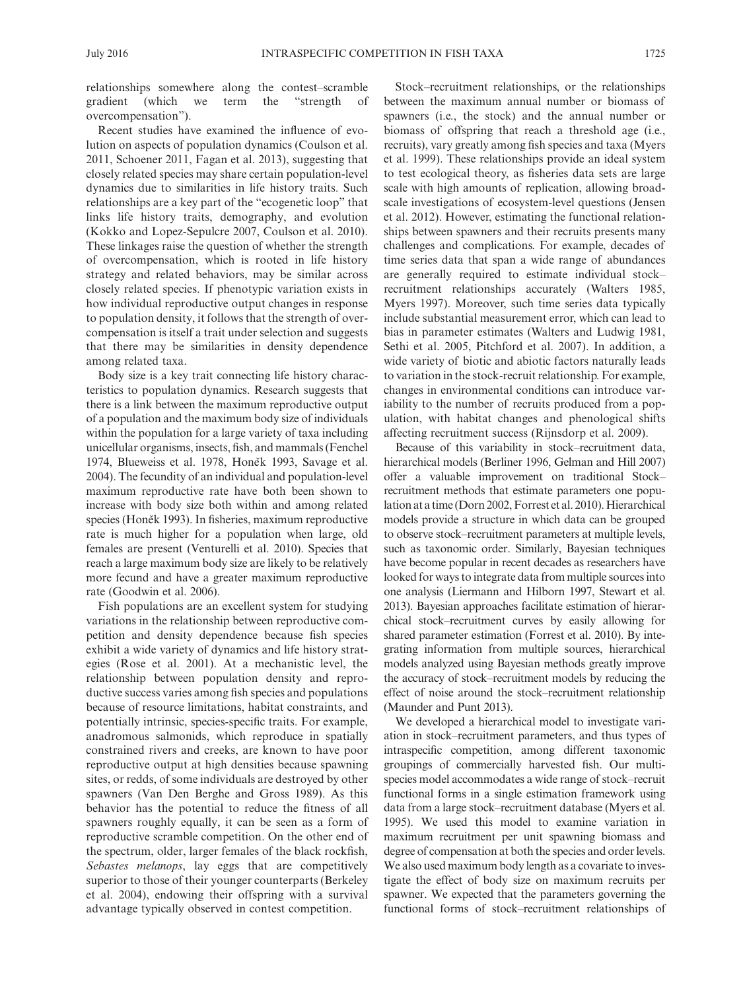relationships somewhere along the contest–scramble gradient (which we term the "strength of overcompensation").

Recent studies have examined the influence of evolution on aspects of population dynamics (Coulson et al. 2011, Schoener 2011, Fagan et al. 2013), suggesting that closely related species may share certain population-level dynamics due to similarities in life history traits. Such relationships are a key part of the "ecogenetic loop" that links life history traits, demography, and evolution (Kokko and Lopez-Sepulcre 2007, Coulson et al. 2010). These linkages raise the question of whether the strength of overcompensation, which is rooted in life history strategy and related behaviors, may be similar across closely related species. If phenotypic variation exists in how individual reproductive output changes in response to population density, it follows that the strength of overcompensation is itself a trait under selection and suggests that there may be similarities in density dependence among related taxa.

Body size is a key trait connecting life history characteristics to population dynamics. Research suggests that there is a link between the maximum reproductive output of a population and the maximum body size of individuals within the population for a large variety of taxa including unicellular organisms, insects, fish, and mammals (Fenchel 1974, Blueweiss et al. 1978, Hone<sup>k</sup> 1993, Savage et al. 2004). The fecundity of an individual and population-level maximum reproductive rate have both been shown to increase with body size both within and among related species (Honěk 1993). In fisheries, maximum reproductive rate is much higher for a population when large, old females are present (Venturelli et al. 2010). Species that reach a large maximum body size are likely to be relatively more fecund and have a greater maximum reproductive rate (Goodwin et al. 2006).

Fish populations are an excellent system for studying variations in the relationship between reproductive competition and density dependence because fish species exhibit a wide variety of dynamics and life history strategies (Rose et al. 2001). At a mechanistic level, the relationship between population density and reproductive success varies among fish species and populations because of resource limitations, habitat constraints, and potentially intrinsic, species-specific traits. For example, anadromous salmonids, which reproduce in spatially constrained rivers and creeks, are known to have poor reproductive output at high densities because spawning sites, or redds, of some individuals are destroyed by other spawners (Van Den Berghe and Gross 1989). As this behavior has the potential to reduce the fitness of all spawners roughly equally, it can be seen as a form of reproductive scramble competition. On the other end of the spectrum, older, larger females of the black rockfish, *Sebastes melanops*, lay eggs that are competitively superior to those of their younger counterparts (Berkeley et al. 2004), endowing their offspring with a survival advantage typically observed in contest competition.

Stock–recruitment relationships, or the relationships between the maximum annual number or biomass of spawners (i.e., the stock) and the annual number or biomass of offspring that reach a threshold age (i.e., recruits), vary greatly among fish species and taxa (Myers et al. 1999). These relationships provide an ideal system to test ecological theory, as fisheries data sets are large scale with high amounts of replication, allowing broadscale investigations of ecosystem-level questions (Jensen et al. 2012). However, estimating the functional relationships between spawners and their recruits presents many challenges and complications. For example, decades of time series data that span a wide range of abundances are generally required to estimate individual stock– recruitment relationships accurately (Walters 1985, Myers 1997). Moreover, such time series data typically include substantial measurement error, which can lead to bias in parameter estimates (Walters and Ludwig 1981, Sethi et al. 2005, Pitchford et al. 2007). In addition, a wide variety of biotic and abiotic factors naturally leads to variation in the stock-recruit relationship. For example, changes in environmental conditions can introduce variability to the number of recruits produced from a population, with habitat changes and phenological shifts affecting recruitment success (Rijnsdorp et al. 2009).

Because of this variability in stock–recruitment data, hierarchical models (Berliner 1996, Gelman and Hill 2007) offer a valuable improvement on traditional Stock– recruitment methods that estimate parameters one population at a time (Dorn 2002, Forrest et al. 2010). Hierarchical models provide a structure in which data can be grouped to observe stock–recruitment parameters at multiple levels, such as taxonomic order. Similarly, Bayesian techniques have become popular in recent decades as researchers have looked for ways to integrate data from multiple sources into one analysis (Liermann and Hilborn 1997, Stewart et al. 2013). Bayesian approaches facilitate estimation of hierarchical stock–recruitment curves by easily allowing for shared parameter estimation (Forrest et al. 2010). By integrating information from multiple sources, hierarchical models analyzed using Bayesian methods greatly improve the accuracy of stock–recruitment models by reducing the effect of noise around the stock–recruitment relationship (Maunder and Punt 2013).

We developed a hierarchical model to investigate variation in stock–recruitment parameters, and thus types of intraspecific competition, among different taxonomic groupings of commercially harvested fish. Our multispecies model accommodates a wide range of stock–recruit functional forms in a single estimation framework using data from a large stock–recruitment database (Myers et al. 1995). We used this model to examine variation in maximum recruitment per unit spawning biomass and degree of compensation at both the species and order levels. We also used maximum body length as a covariate to investigate the effect of body size on maximum recruits per spawner. We expected that the parameters governing the functional forms of stock–recruitment relationships of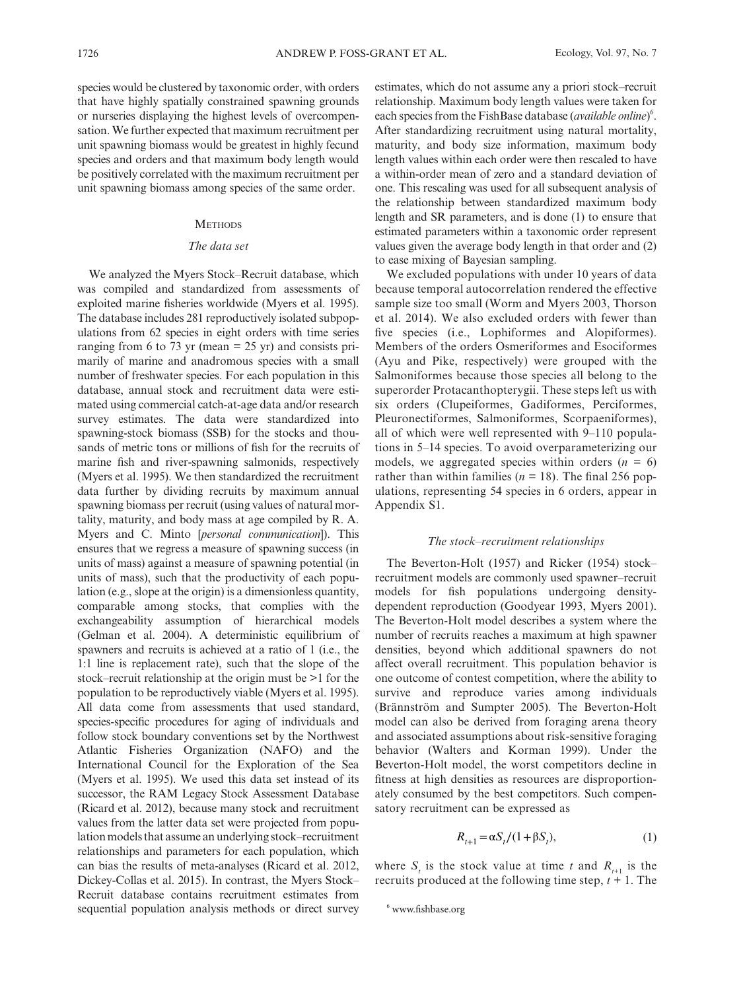species would be clustered by taxonomic order, with orders that have highly spatially constrained spawning grounds or nurseries displaying the highest levels of overcompensation. We further expected that maximum recruitment per unit spawning biomass would be greatest in highly fecund species and orders and that maximum body length would be positively correlated with the maximum recruitment per unit spawning biomass among species of the same order.

## **METHODS**

# *The data set*

We analyzed the Myers Stock–Recruit database, which was compiled and standardized from assessments of exploited marine fisheries worldwide (Myers et al. 1995). The database includes 281 reproductively isolated subpopulations from 62 species in eight orders with time series ranging from 6 to 73 yr (mean  $= 25$  yr) and consists primarily of marine and anadromous species with a small number of freshwater species. For each population in this database, annual stock and recruitment data were estimated using commercial catch-at-age data and/or research survey estimates. The data were standardized into spawning-stock biomass (SSB) for the stocks and thousands of metric tons or millions of fish for the recruits of marine fish and river-spawning salmonids, respectively (Myers et al. 1995). We then standardized the recruitment data further by dividing recruits by maximum annual spawning biomass per recruit (using values of natural mortality, maturity, and body mass at age compiled by R. A. Myers and C. Minto [*personal communication*]). This ensures that we regress a measure of spawning success (in units of mass) against a measure of spawning potential (in units of mass), such that the productivity of each population (e.g., slope at the origin) is a dimensionless quantity, comparable among stocks, that complies with the exchangeability assumption of hierarchical models (Gelman et al. 2004). A deterministic equilibrium of spawners and recruits is achieved at a ratio of 1 (i.e., the 1:1 line is replacement rate), such that the slope of the stock–recruit relationship at the origin must be >1 for the population to be reproductively viable (Myers et al. 1995). All data come from assessments that used standard, species-specific procedures for aging of individuals and follow stock boundary conventions set by the Northwest Atlantic Fisheries Organization (NAFO) and the International Council for the Exploration of the Sea (Myers et al. 1995). We used this data set instead of its successor, the RAM Legacy Stock Assessment Database (Ricard et al. 2012), because many stock and recruitment values from the latter data set were projected from population models that assume an underlying stock–recruitment relationships and parameters for each population, which can bias the results of meta-analyses (Ricard et al. 2012, Dickey-Collas et al. 2015). In contrast, the Myers Stock– Recruit database contains recruitment estimates from sequential population analysis methods or direct survey

estimates, which do not assume any a priori stock–recruit relationship. Maximum body length values were taken for each species from the FishBase database (*available online*)<sup>6</sup>. After standardizing recruitment using natural mortality, maturity, and body size information, maximum body length values within each order were then rescaled to have a within-order mean of zero and a standard deviation of one. This rescaling was used for all subsequent analysis of the relationship between standardized maximum body length and SR parameters, and is done (1) to ensure that estimated parameters within a taxonomic order represent values given the average body length in that order and (2) to ease mixing of Bayesian sampling.

We excluded populations with under 10 years of data because temporal autocorrelation rendered the effective sample size too small (Worm and Myers 2003, Thorson et al. 2014). We also excluded orders with fewer than five species (i.e., Lophiformes and Alopiformes). Members of the orders Osmeriformes and Esociformes (Ayu and Pike, respectively) were grouped with the Salmoniformes because those species all belong to the superorder Protacanthopterygii. These steps left us with six orders (Clupeiformes, Gadiformes, Perciformes, Pleuronectiformes, Salmoniformes, Scorpaeniformes), all of which were well represented with 9–110 populations in 5–14 species. To avoid overparameterizing our models, we aggregated species within orders  $(n = 6)$ rather than within families ( $n = 18$ ). The final 256 populations, representing 54 species in 6 orders, appear in Appendix S1.

# *The stock–recruitment relationships*

The Beverton-Holt (1957) and Ricker (1954) stock– recruitment models are commonly used spawner–recruit models for fish populations undergoing densitydependent reproduction (Goodyear 1993, Myers 2001). The Beverton-Holt model describes a system where the number of recruits reaches a maximum at high spawner densities, beyond which additional spawners do not affect overall recruitment. This population behavior is one outcome of contest competition, where the ability to survive and reproduce varies among individuals (Brännström and Sumpter 2005). The Beverton-Holt model can also be derived from foraging arena theory and associated assumptions about risk-sensitive foraging behavior (Walters and Korman 1999). Under the Beverton-Holt model, the worst competitors decline in fitness at high densities as resources are disproportionately consumed by the best competitors. Such compensatory recruitment can be expressed as

$$
R_{t+1} = \alpha S_t / (1 + \beta S_t),\tag{1}
$$

where  $S_t$  is the stock value at time *t* and  $R_{t+1}$  is the recruits produced at the following time step, *t* + 1. The

<sup>6</sup> [www.fishbase.org](http://www.fishbase.org)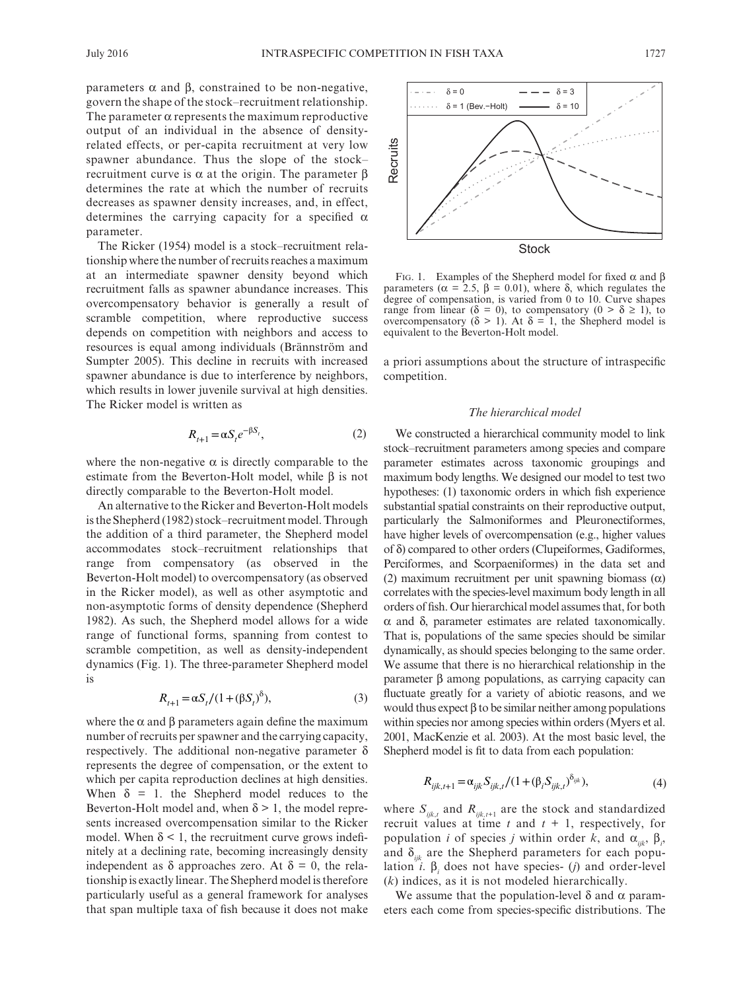parameters  $\alpha$  and  $\beta$ , constrained to be non-negative, govern the shape of the stock–recruitment relationship. The parameter  $\alpha$  represents the maximum reproductive output of an individual in the absence of densityrelated effects, or per-capita recruitment at very low spawner abundance. Thus the slope of the stock– recruitment curve is  $\alpha$  at the origin. The parameter  $\beta$ determines the rate at which the number of recruits decreases as spawner density increases, and, in effect, determines the carrying capacity for a specified  $\alpha$ parameter.

The Ricker (1954) model is a stock–recruitment relationship where the number of recruits reaches a maximum at an intermediate spawner density beyond which recruitment falls as spawner abundance increases. This overcompensatory behavior is generally a result of scramble competition, where reproductive success depends on competition with neighbors and access to resources is equal among individuals (Brännström and Sumpter 2005). This decline in recruits with increased spawner abundance is due to interference by neighbors, which results in lower juvenile survival at high densities. The Ricker model is written as

$$
R_{t+1} = \alpha S_t e^{-\beta S_t},\tag{2}
$$

where the non-negative  $\alpha$  is directly comparable to the estimate from the Beverton-Holt model, while  $\beta$  is not directly comparable to the Beverton-Holt model.

An alternative to the Ricker and Beverton-Holt models is the Shepherd (1982) stock–recruitment model. Through the addition of a third parameter, the Shepherd model accommodates stock–recruitment relationships that range from compensatory (as observed in the Beverton-Holt model) to overcompensatory (as observed in the Ricker model), as well as other asymptotic and non-asymptotic forms of density dependence (Shepherd 1982). As such, the Shepherd model allows for a wide range of functional forms, spanning from contest to scramble competition, as well as density-independent dynamics (Fig. 1). The three-parameter Shepherd model is

$$
R_{t+1} = \alpha S_t / (1 + (\beta S_t)^{\delta}),
$$
\n(3)

where the  $\alpha$  and  $\beta$  parameters again define the maximum number of recruits per spawner and the carrying capacity, respectively. The additional non-negative parameter  $\delta$ represents the degree of compensation, or the extent to which per capita reproduction declines at high densities. When  $\delta = 1$ . the Shepherd model reduces to the Beverton-Holt model and, when  $\delta$  > 1, the model represents increased overcompensation similar to the Ricker model. When  $\delta$  < 1, the recruitment curve grows indefinitely at a declining rate, becoming increasingly density independent as  $\delta$  approaches zero. At  $\delta = 0$ , the relationship is exactly linear. The Shepherd model is therefore particularly useful as a general framework for analyses that span multiple taxa of fish because it does not make



Fig. 1. Examples of the Shepherd model for fixed  $\alpha$  and  $\beta$ parameters ( $\alpha = 2.5$ ,  $\beta = 0.01$ ), where  $\delta$ , which regulates the degree of compensation, is varied from 0 to 10. Curve shapes range from linear ( $\delta = 0$ ), to compensatory ( $0 > \delta \ge 1$ ), to overcompensatory  $(\delta > 1)$ . At  $\delta = 1$ , the Shepherd model is equivalent to the Beverton-Holt model.

a priori assumptions about the structure of intraspecific competition.

## *The hierarchical model*

We constructed a hierarchical community model to link stock–recruitment parameters among species and compare parameter estimates across taxonomic groupings and maximum body lengths. We designed our model to test two hypotheses: (1) taxonomic orders in which fish experience substantial spatial constraints on their reproductive output, particularly the Salmoniformes and Pleuronectiformes, have higher levels of overcompensation (e.g., higher values of  $\delta$ ) compared to other orders (Clupeiformes, Gadiformes, Perciformes, and Scorpaeniformes) in the data set and (2) maximum recruitment per unit spawning biomass  $(\alpha)$ correlates with the species-level maximum body length in all orders of fish. Our hierarchical model assumes that, for both  $α$  and  $δ$ , parameter estimates are related taxonomically. That is, populations of the same species should be similar dynamically, as should species belonging to the same order. We assume that there is no hierarchical relationship in the parameter  $\beta$  among populations, as carrying capacity can fluctuate greatly for a variety of abiotic reasons, and we would thus expect  $\beta$  to be similar neither among populations within species nor among species within orders (Myers et al. 2001, MacKenzie et al. 2003). At the most basic level, the Shepherd model is fit to data from each population:

$$
R_{ijk,t+1} = \alpha_{ijk} S_{ijk,t} / (1 + (\beta_i S_{ijk,t})^{\delta_{ijk}}),
$$
\n(4)

where  $S_{ijk,t}$  and  $R_{ijk,t+1}$  are the stock and standardized recruit values at time  $t$  and  $t + 1$ , respectively, for population *i* of species *j* within order *k*, and  $\alpha_{ijk}$ ,  $\beta_i$ , and  $\delta_{ijk}$  are the Shepherd parameters for each population *i*.  $\beta$ <sub>*i*</sub> does not have species- (*j*) and order-level (*k*) indices, as it is not modeled hierarchically.

We assume that the population-level  $\delta$  and  $\alpha$  parameters each come from species-specific distributions. The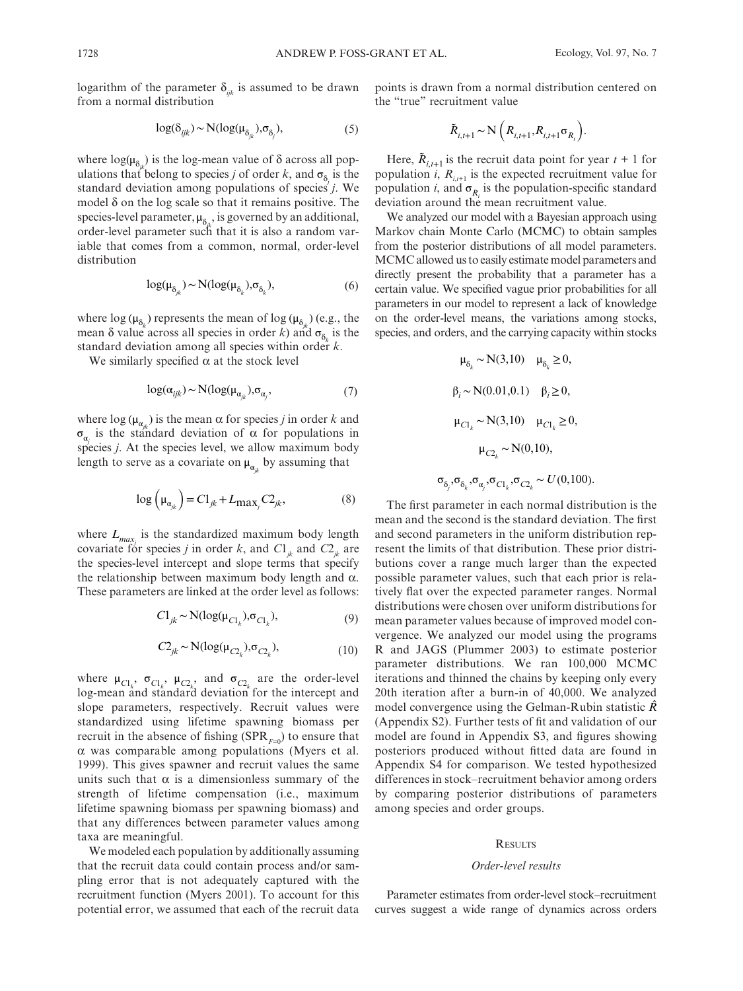logarithm of the parameter  $\delta_{ijk}$  is assumed to be drawn from a normal distribution

$$
\log(\delta_{ijk}) \sim N(\log(\mu_{\delta_{jk}}), \sigma_{\delta_j}), \tag{5}
$$

where  $log(\mu_{\delta_{jk}})$  is the log-mean value of  $\delta$  across all populations that belong to species *j* of order *k*, and  $\sigma_{\delta_j}$  is the standard deviation among populations of species  $j$ . We model  $\delta$  on the log scale so that it remains positive. The species-level parameter,  $\mu_{\delta_{jk}}$ , is governed by an additional, order-level parameter such that it is also a random variable that comes from a common, normal, order-level distribution

$$
\log(\mu_{\delta_{jk}}) \sim N(\log(\mu_{\delta_k}), \sigma_{\delta_k}), \tag{6}
$$

where  $\log(\mu_{\delta_k})$  represents the mean of  $\log(\mu_{\delta_k})$  (e.g., the mean  $\delta$  value across all species in order *k*) and  $\sigma_{\delta_k}$  is the standard deviation among all species within order *k*.

We similarly specified  $\alpha$  at the stock level

$$
\log(\alpha_{ijk}) \sim N(\log(\mu_{\alpha_{jk}}), \sigma_{\alpha_j}, \tag{7}
$$

where  $\log(\mu_{\alpha_{jk}})$  is the mean  $\alpha$  for species *j* in order *k* and  $\sigma_{\alpha}$  is the standard deviation of  $\alpha$  for populations in species *j*. At the species level, we allow maximum body length to serve as a covariate on  $\mu_{\alpha_{jk}}$  by assuming that

$$
\log\left(\mu_{\alpha_{jk}}\right) = C1_{jk} + L_{\text{max}_j} C2_{jk},\tag{8}
$$

where  $L_{max}$  is the standardized maximum body length covariate for species *j* in order *k*, and  $Cl<sub>k</sub>$  and  $Cl<sub>k</sub>$  are the species-level intercept and slope terms that specify the relationship between maximum body length and  $\alpha$ . These parameters are linked at the order level as follows:

$$
Cl_{jk} \sim N(\log(\mu_{Cl_k}), \sigma_{Cl_k}), \tag{9}
$$

$$
C2_{jk} \sim N(\log(\mu_{C2_k}), \sigma_{C2_k}),
$$
 (10)

where  $\mu_{Cl_k}$ ,  $\sigma_{Cl_k}$ ,  $\mu_{Cl_k}$  and  $\sigma_{Cl_k}$  are the order-level log-mean and standard deviation for the intercept and slope parameters, respectively. Recruit values were standardized using lifetime spawning biomass per recruit in the absence of fishing  $(SPR<sub>F=0</sub>)$  to ensure that  $\alpha$  was comparable among populations (Myers et al. 1999). This gives spawner and recruit values the same units such that  $\alpha$  is a dimensionless summary of the strength of lifetime compensation (i.e., maximum lifetime spawning biomass per spawning biomass) and that any differences between parameter values among taxa are meaningful.

We modeled each population by additionally assuming that the recruit data could contain process and/or sampling error that is not adequately captured with the recruitment function (Myers 2001). To account for this potential error, we assumed that each of the recruit data points is drawn from a normal distribution centered on the "true" recruitment value

$$
\tilde{R}_{i,t+1} \sim \mathcal{N}\left(R_{i,t+1}, R_{i,t+1} \sigma_{R_i}\right).
$$

Here,  $\tilde{R}_{i,t+1}$  is the recruit data point for year  $t + 1$  for population *i*,  $R_{i+1}$  is the expected recruitment value for population *i*, and  $\sigma_{R_i}$  is the population-specific standard deviation around the mean recruitment value.

We analyzed our model with a Bayesian approach using Markov chain Monte Carlo (MCMC) to obtain samples from the posterior distributions of all model parameters. MCMC allowed us to easily estimate model parameters and directly present the probability that a parameter has a certain value. We specified vague prior probabilities for all parameters in our model to represent a lack of knowledge on the order-level means, the variations among stocks, species, and orders, and the carrying capacity within stocks

$$
\mu_{\delta_k} \sim N(3,10) \quad \mu_{\delta_k} \ge 0,
$$
  
\n $\beta_i \sim N(0.01,0.1) \quad \beta_i \ge 0,$   
\n $\mu_{Cl_k} \sim N(3,10) \quad \mu_{Cl_k} \ge 0,$   
\n $\mu_{C2_k} \sim N(0,10),$   
\n $\sigma_{\delta_j}, \sigma_{\delta_k}, \sigma_{\alpha_j}, \sigma_{Cl_k}, \sigma_{C2_k} \sim U(0,100).$ 

The first parameter in each normal distribution is the mean and the second is the standard deviation. The first and second parameters in the uniform distribution represent the limits of that distribution. These prior distributions cover a range much larger than the expected possible parameter values, such that each prior is relatively flat over the expected parameter ranges. Normal distributions were chosen over uniform distributions for mean parameter values because of improved model convergence. We analyzed our model using the programs R and JAGS (Plummer 2003) to estimate posterior parameter distributions. We ran 100,000 MCMC iterations and thinned the chains by keeping only every 20th iteration after a burn-in of 40,000. We analyzed model convergence using the Gelman-Rubin statistic *R̂* (Appendix S2). Further tests of fit and validation of our model are found in Appendix S3, and figures showing posteriors produced without fitted data are found in Appendix S4 for comparison. We tested hypothesized differences in stock–recruitment behavior among orders by comparing posterior distributions of parameters among species and order groups.

## **RESULTS**

#### *Order-level results*

Parameter estimates from order-level stock–recruitment curves suggest a wide range of dynamics across orders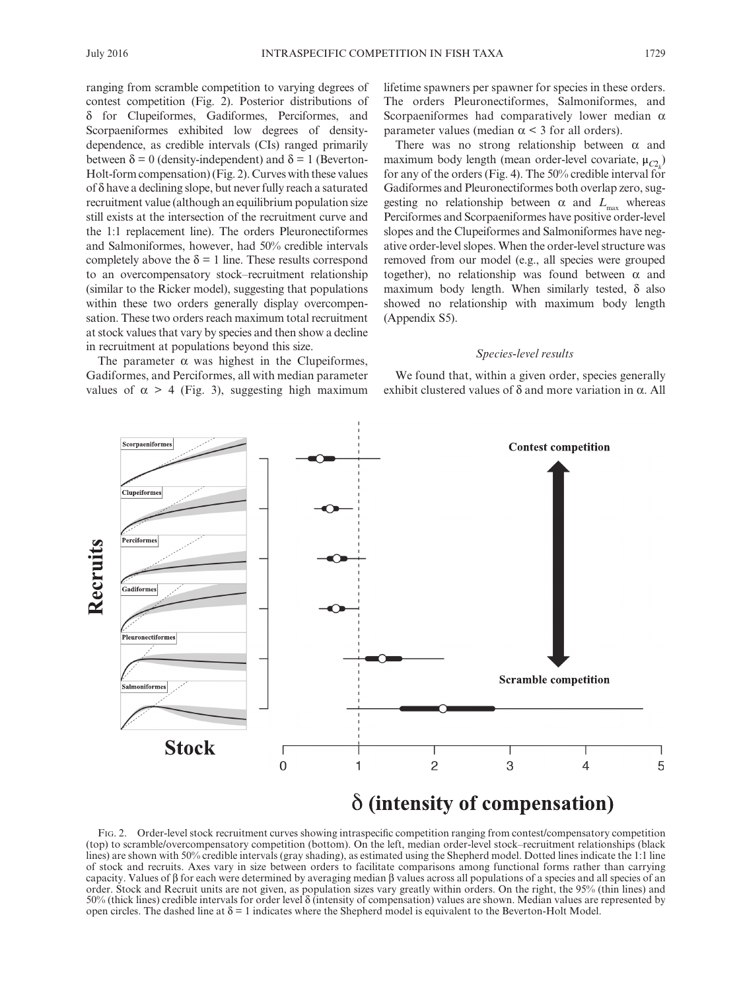ranging from scramble competition to varying degrees of contest competition (Fig. 2). Posterior distributions of d for Clupeiformes, Gadiformes, Perciformes, and Scorpaeniformes exhibited low degrees of densitydependence, as credible intervals (CIs) ranged primarily between  $\delta = 0$  (density-independent) and  $\delta = 1$  (Beverton-Holt-form compensation) (Fig. 2). Curves with these values of  $\delta$  have a declining slope, but never fully reach a saturated recruitment value (although an equilibrium population size still exists at the intersection of the recruitment curve and the 1:1 replacement line). The orders Pleuronectiformes and Salmoniformes, however, had 50% credible intervals completely above the  $\delta = 1$  line. These results correspond to an overcompensatory stock–recruitment relationship (similar to the Ricker model), suggesting that populations within these two orders generally display overcompensation. These two orders reach maximum total recruitment at stock values that vary by species and then show a decline in recruitment at populations beyond this size.

The parameter  $\alpha$  was highest in the Clupeiformes, Gadiformes, and Perciformes, all with median parameter values of  $\alpha > 4$  (Fig. 3), suggesting high maximum lifetime spawners per spawner for species in these orders. The orders Pleuronectiformes, Salmoniformes, and Scorpaeniformes had comparatively lower median  $\alpha$ parameter values (median  $\alpha$  < 3 for all orders).

There was no strong relationship between  $\alpha$  and maximum body length (mean order-level covariate,  $\mu_{C2_k}$ ) for any of the orders (Fig. 4). The 50% credible interval for Gadiformes and Pleuronectiformes both overlap zero, suggesting no relationship between  $\alpha$  and  $L_{\text{max}}$  whereas Perciformes and Scorpaeniformes have positive order-level slopes and the Clupeiformes and Salmoniformes have negative order-level slopes. When the order-level structure was removed from our model (e.g., all species were grouped together), no relationship was found between  $\alpha$  and maximum body length. When similarly tested,  $\delta$  also showed no relationship with maximum body length (Appendix S5).

# *Species-level results*

We found that, within a given order, species generally exhibit clustered values of  $\delta$  and more variation in  $\alpha$ . All



Fig. 2. Order-level stock recruitment curves showing intraspecific competition ranging from contest/compensatory competition (top) to scramble/overcompensatory competition (bottom). On the left, median order-level stock–recruitment relationships (black lines) are shown with 50% credible intervals (gray shading), as estimated using the Shepherd model. Dotted lines indicate the 1:1 line of stock and recruits. Axes vary in size between orders to facilitate comparisons among functional forms rather than carrying capacity. Values of  $\beta$  for each were determined by averaging median  $\beta$  values across all populations of a species and all species of an order. Stock and Recruit units are not given, as population sizes vary greatly within orders. On the right, the 95% (thin lines) and  $50\%$  (thick lines) credible intervals for order level  $\delta$  (intensity of compensation) values are shown. Median values are represented by open circles. The dashed line at  $\delta = 1$  indicates where the Shepherd model is equivalent to the Beverton-Holt Model.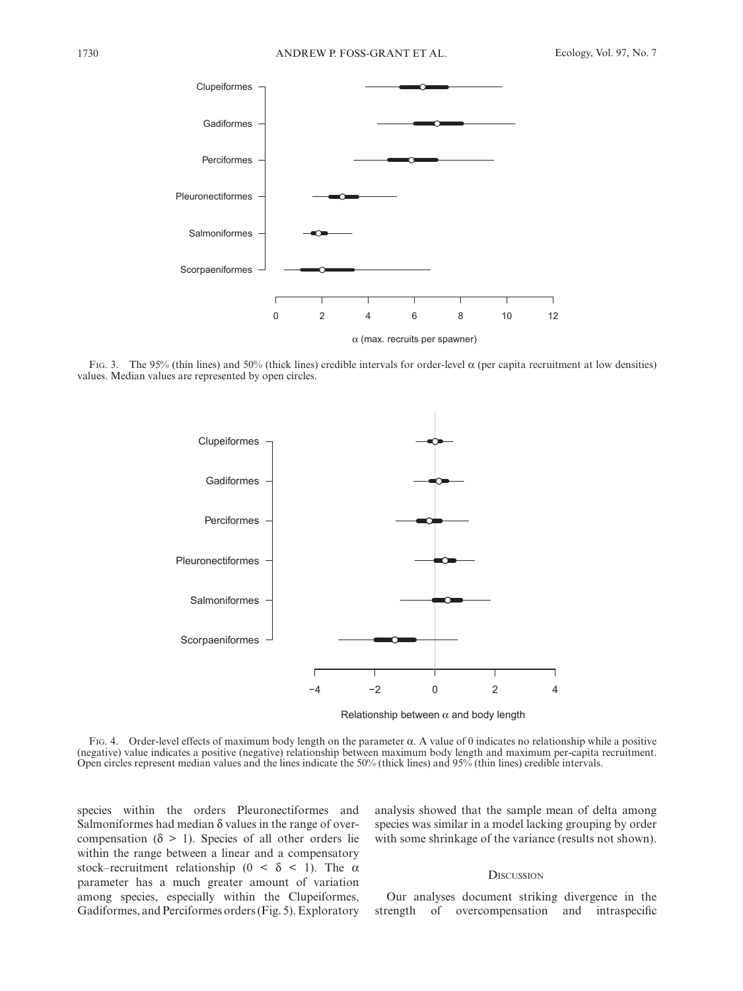

Fig. 3. The 95% (thin lines) and 50% (thick lines) credible intervals for order-level  $\alpha$  (per capita recruitment at low densities) values. Median values are represented by open circles.



*Relationship between α and body length* 

Fig. 4. Order-level effects of maximum body length on the parameter  $\alpha$ . A value of 0 indicates no relationship while a positive (negative) value indicates a positive (negative) relationship between maximum body length and maximum per-capita recruitment. Open circles represent median values and the lines indicate the 50% (thick lines) and 95% (thin lines) credible intervals.

species within the orders Pleuronectiformes and Salmoniformes had median  $\delta$  values in the range of overcompensation ( $\delta$  > 1). Species of all other orders lie within the range between a linear and a compensatory stock–recruitment relationship ( $0 < \delta < 1$ ). The  $\alpha$ parameter has a much greater amount of variation among species, especially within the Clupeiformes, Gadiformes, and Perciformes orders (Fig. 5). Exploratory analysis showed that the sample mean of delta among species was similar in a model lacking grouping by order with some shrinkage of the variance (results not shown).

## **DISCUSSION**

Our analyses document striking divergence in the strength of overcompensation and intraspecific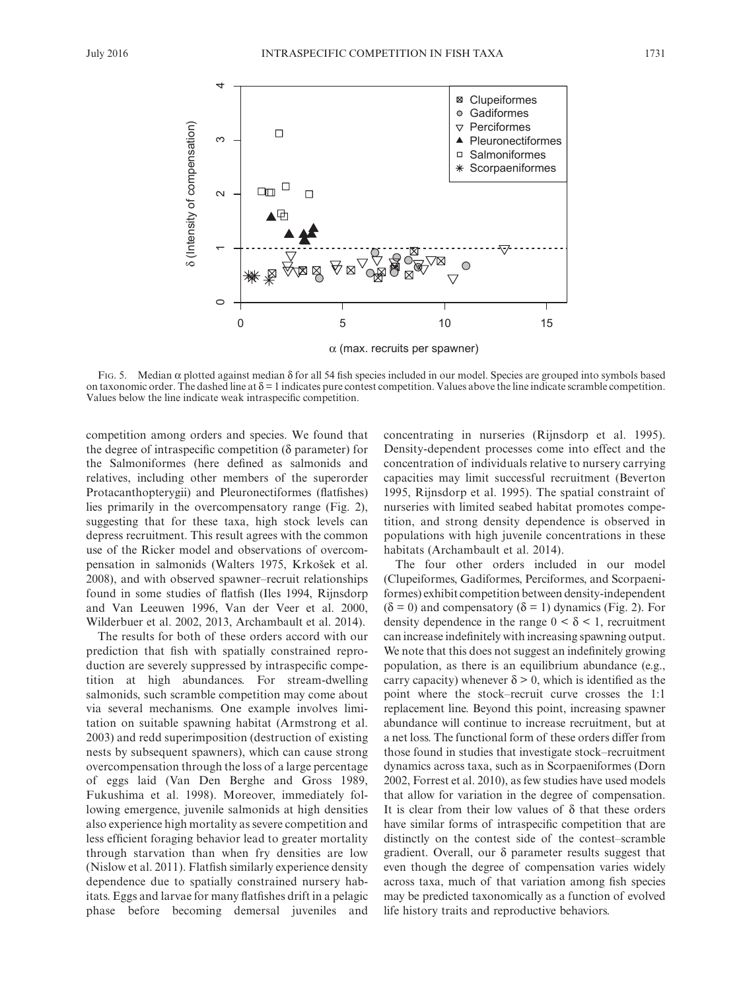

Fig. 5. Median  $\alpha$  plotted against median  $\delta$  for all 54 fish species included in our model. Species are grouped into symbols based on taxonomic order. The dashed line at  $\delta = 1$  indicates pure contest competition. Values above the line indicate scramble competition. Values below the line indicate weak intraspecific competition.

competition among orders and species. We found that the degree of intraspecific competition  $(\delta$  parameter) for the Salmoniformes (here defined as salmonids and relatives, including other members of the superorder Protacanthopterygii) and Pleuronectiformes (flatfishes) lies primarily in the overcompensatory range (Fig. 2), suggesting that for these taxa, high stock levels can depress recruitment. This result agrees with the common use of the Ricker model and observations of overcompensation in salmonids (Walters 1975, Krkošek et al. 2008), and with observed spawner–recruit relationships found in some studies of flatfish (Iles 1994, Rijnsdorp and Van Leeuwen 1996, Van der Veer et al. 2000, Wilderbuer et al. 2002, 2013, Archambault et al. 2014).

The results for both of these orders accord with our prediction that fish with spatially constrained reproduction are severely suppressed by intraspecific competition at high abundances. For stream-dwelling salmonids, such scramble competition may come about via several mechanisms. One example involves limitation on suitable spawning habitat (Armstrong et al. 2003) and redd superimposition (destruction of existing nests by subsequent spawners), which can cause strong overcompensation through the loss of a large percentage of eggs laid (Van Den Berghe and Gross 1989, Fukushima et al. 1998). Moreover, immediately following emergence, juvenile salmonids at high densities also experience high mortality as severe competition and less efficient foraging behavior lead to greater mortality through starvation than when fry densities are low (Nislow et al. 2011). Flatfish similarly experience density dependence due to spatially constrained nursery habitats. Eggs and larvae for many flatfishes drift in a pelagic phase before becoming demersal juveniles and

concentrating in nurseries (Rijnsdorp et al. 1995). Density-dependent processes come into effect and the concentration of individuals relative to nursery carrying capacities may limit successful recruitment (Beverton 1995, Rijnsdorp et al. 1995). The spatial constraint of nurseries with limited seabed habitat promotes competition, and strong density dependence is observed in populations with high juvenile concentrations in these habitats (Archambault et al. 2014).

The four other orders included in our model (Clupeiformes, Gadiformes, Perciformes, and Scorpaeniformes) exhibit competition between density-independent  $(\delta = 0)$  and compensatory  $(\delta = 1)$  dynamics (Fig. 2). For density dependence in the range  $0 < \delta < 1$ , recruitment can increase indefinitely with increasing spawning output. We note that this does not suggest an indefinitely growing population, as there is an equilibrium abundance (e.g., carry capacity) whenever  $\delta$  > 0, which is identified as the point where the stock–recruit curve crosses the 1:1 replacement line. Beyond this point, increasing spawner abundance will continue to increase recruitment, but at a net loss. The functional form of these orders differ from those found in studies that investigate stock–recruitment dynamics across taxa, such as in Scorpaeniformes (Dorn 2002, Forrest et al. 2010), as few studies have used models that allow for variation in the degree of compensation. It is clear from their low values of  $\delta$  that these orders have similar forms of intraspecific competition that are distinctly on the contest side of the contest–scramble gradient. Overall, our  $\delta$  parameter results suggest that even though the degree of compensation varies widely across taxa, much of that variation among fish species may be predicted taxonomically as a function of evolved life history traits and reproductive behaviors.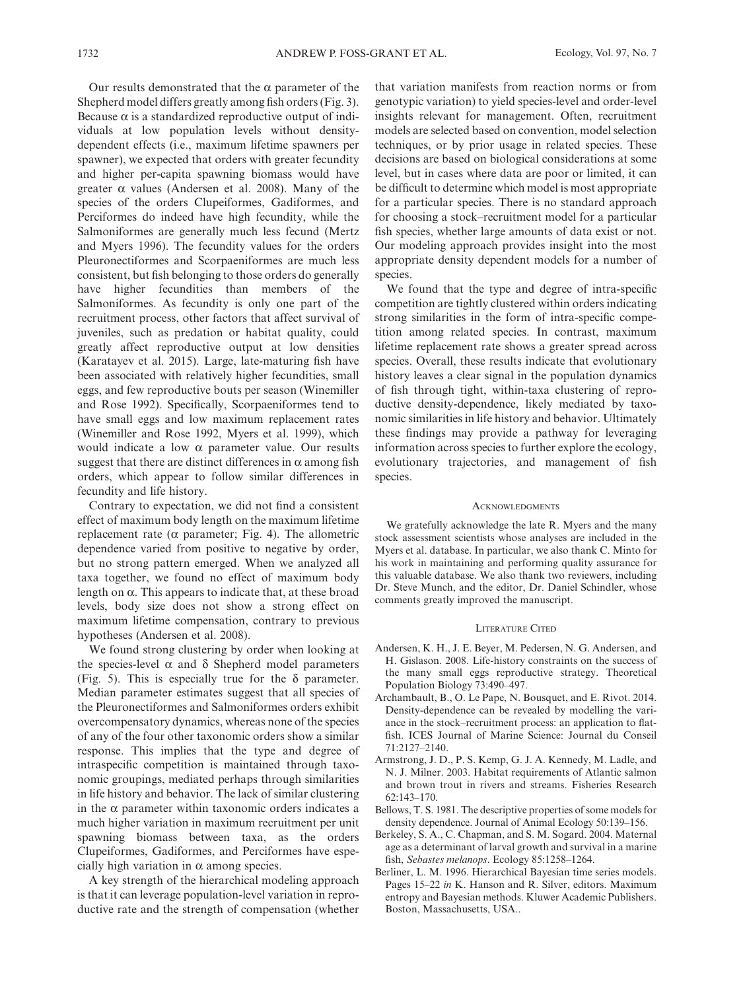Our results demonstrated that the  $\alpha$  parameter of the Shepherd model differs greatly among fish orders (Fig. 3). Because  $\alpha$  is a standardized reproductive output of individuals at low population levels without densitydependent effects (i.e., maximum lifetime spawners per spawner), we expected that orders with greater fecundity and higher per-capita spawning biomass would have greater  $\alpha$  values (Andersen et al. 2008). Many of the species of the orders Clupeiformes, Gadiformes, and Perciformes do indeed have high fecundity, while the Salmoniformes are generally much less fecund (Mertz and Myers 1996). The fecundity values for the orders Pleuronectiformes and Scorpaeniformes are much less consistent, but fish belonging to those orders do generally have higher fecundities than members of the Salmoniformes. As fecundity is only one part of the recruitment process, other factors that affect survival of juveniles, such as predation or habitat quality, could greatly affect reproductive output at low densities (Karatayev et al. 2015). Large, late-maturing fish have been associated with relatively higher fecundities, small eggs, and few reproductive bouts per season (Winemiller and Rose 1992). Specifically, Scorpaeniformes tend to have small eggs and low maximum replacement rates (Winemiller and Rose 1992, Myers et al. 1999), which would indicate a low  $\alpha$  parameter value. Our results suggest that there are distinct differences in  $\alpha$  among fish orders, which appear to follow similar differences in fecundity and life history.

Contrary to expectation, we did not find a consistent effect of maximum body length on the maximum lifetime replacement rate ( $\alpha$  parameter; Fig. 4). The allometric dependence varied from positive to negative by order, but no strong pattern emerged. When we analyzed all taxa together, we found no effect of maximum body length on  $\alpha$ . This appears to indicate that, at these broad levels, body size does not show a strong effect on maximum lifetime compensation, contrary to previous hypotheses (Andersen et al. 2008).

We found strong clustering by order when looking at the species-level  $\alpha$  and  $\delta$  Shepherd model parameters (Fig. 5). This is especially true for the  $\delta$  parameter. Median parameter estimates suggest that all species of the Pleuronectiformes and Salmoniformes orders exhibit overcompensatory dynamics, whereas none of the species of any of the four other taxonomic orders show a similar response. This implies that the type and degree of intraspecific competition is maintained through taxonomic groupings, mediated perhaps through similarities in life history and behavior. The lack of similar clustering in the  $\alpha$  parameter within taxonomic orders indicates a much higher variation in maximum recruitment per unit spawning biomass between taxa, as the orders Clupeiformes, Gadiformes, and Perciformes have especially high variation in  $\alpha$  among species.

A key strength of the hierarchical modeling approach is that it can leverage population-level variation in reproductive rate and the strength of compensation (whether that variation manifests from reaction norms or from genotypic variation) to yield species-level and order-level insights relevant for management. Often, recruitment models are selected based on convention, model selection techniques, or by prior usage in related species. These decisions are based on biological considerations at some level, but in cases where data are poor or limited, it can be difficult to determine which model is most appropriate for a particular species. There is no standard approach for choosing a stock–recruitment model for a particular fish species, whether large amounts of data exist or not. Our modeling approach provides insight into the most appropriate density dependent models for a number of species.

We found that the type and degree of intra-specific competition are tightly clustered within orders indicating strong similarities in the form of intra-specific competition among related species. In contrast, maximum lifetime replacement rate shows a greater spread across species. Overall, these results indicate that evolutionary history leaves a clear signal in the population dynamics of fish through tight, within-taxa clustering of reproductive density-dependence, likely mediated by taxonomic similarities in life history and behavior. Ultimately these findings may provide a pathway for leveraging information across species to further explore the ecology, evolutionary trajectories, and management of fish species.

# **ACKNOWLEDGMENTS**

We gratefully acknowledge the late R. Myers and the many stock assessment scientists whose analyses are included in the Myers et al. database. In particular, we also thank C. Minto for his work in maintaining and performing quality assurance for this valuable database. We also thank two reviewers, including Dr. Steve Munch, and the editor, Dr. Daniel Schindler, whose comments greatly improved the manuscript.

# LITERATURE CITED

- Andersen, K. H., J. E. Beyer, M. Pedersen, N. G. Andersen, and H. Gislason. 2008. Life-history constraints on the success of the many small eggs reproductive strategy. Theoretical Population Biology 73:490–497.
- Archambault, B., O. Le Pape, N. Bousquet, and E. Rivot. 2014. Density-dependence can be revealed by modelling the variance in the stock–recruitment process: an application to flatfish. ICES Journal of Marine Science: Journal du Conseil 71:2127–2140.
- Armstrong, J. D., P. S. Kemp, G. J. A. Kennedy, M. Ladle, and N. J. Milner. 2003. Habitat requirements of Atlantic salmon and brown trout in rivers and streams. Fisheries Research  $62.143 - 170$
- Bellows, T. S. 1981. The descriptive properties of some models for density dependence. Journal of Animal Ecology 50:139–156.
- Berkeley, S. A., C. Chapman, and S. M. Sogard. 2004. Maternal age as a determinant of larval growth and survival in a marine fish, *Sebastes melanops*. Ecology 85:1258–1264.
- Berliner, L. M. 1996. Hierarchical Bayesian time series models. Pages 15–22 *in* K. Hanson and R. Silver, editors. Maximum entropy and Bayesian methods. Kluwer Academic Publishers. Boston, Massachusetts, USA..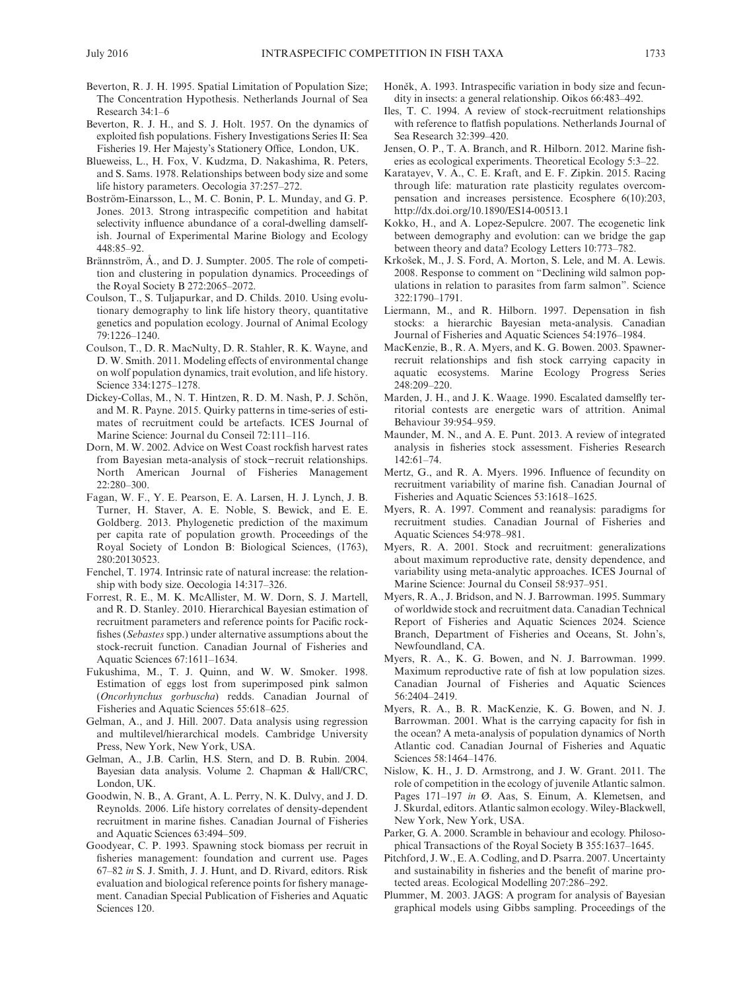- Beverton, R. J. H. 1995. Spatial Limitation of Population Size; The Concentration Hypothesis. Netherlands Journal of Sea Research 34:1–6
- Beverton, R. J. H., and S. J. Holt. 1957. On the dynamics of exploited fish populations. Fishery Investigations Series II: Sea Fisheries 19. Her Majesty's Stationery Office, London, UK.
- Blueweiss, L., H. Fox, V. Kudzma, D. Nakashima, R. Peters, and S. Sams. 1978. Relationships between body size and some life history parameters. Oecologia 37:257–272.
- Boström-Einarsson, L., M. C. Bonin, P. L. Munday, and G. P. Jones. 2013. Strong intraspecific competition and habitat selectivity influence abundance of a coral-dwelling damselfish. Journal of Experimental Marine Biology and Ecology 448:85–92.
- Brännström, Å., and D. J. Sumpter. 2005. The role of competition and clustering in population dynamics. Proceedings of the Royal Society B 272:2065–2072.
- Coulson, T., S. Tuljapurkar, and D. Childs. 2010. Using evolutionary demography to link life history theory, quantitative genetics and population ecology. Journal of Animal Ecology 79:1226–1240.
- Coulson, T., D. R. MacNulty, D. R. Stahler, R. K. Wayne, and D. W. Smith. 2011. Modeling effects of environmental change on wolf population dynamics, trait evolution, and life history. Science 334:1275–1278.
- Dickey-Collas, M., N. T. Hintzen, R. D. M. Nash, P. J. Schön, and M. R. Payne. 2015. Quirky patterns in time-series of estimates of recruitment could be artefacts. ICES Journal of Marine Science: Journal du Conseil 72:111–116.
- Dorn, M. W. 2002. Advice on West Coast rockfish harvest rates from Bayesian meta-analysis of stock−recruit relationships. North American Journal of Fisheries Management 22:280–300.
- Fagan, W. F., Y. E. Pearson, E. A. Larsen, H. J. Lynch, J. B. Turner, H. Staver, A. E. Noble, S. Bewick, and E. E. Goldberg. 2013. Phylogenetic prediction of the maximum per capita rate of population growth. Proceedings of the Royal Society of London B: Biological Sciences, (1763), 280:20130523.
- Fenchel, T. 1974. Intrinsic rate of natural increase: the relationship with body size. Oecologia 14:317–326.
- Forrest, R. E., M. K. McAllister, M. W. Dorn, S. J. Martell, and R. D. Stanley. 2010. Hierarchical Bayesian estimation of recruitment parameters and reference points for Pacific rockfishes (*Sebastes* spp.) under alternative assumptions about the stock-recruit function. Canadian Journal of Fisheries and Aquatic Sciences 67:1611–1634.
- Fukushima, M., T. J. Quinn, and W. W. Smoker. 1998. Estimation of eggs lost from superimposed pink salmon (*Oncorhynchus gorbuscha*) redds. Canadian Journal of Fisheries and Aquatic Sciences 55:618–625.
- Gelman, A., and J. Hill. 2007. Data analysis using regression and multilevel/hierarchical models. Cambridge University Press, New York, New York, USA.
- Gelman, A., J.B. Carlin, H.S. Stern, and D. B. Rubin. 2004. Bayesian data analysis. Volume 2. Chapman & Hall/CRC, London, UK.
- Goodwin, N. B., A. Grant, A. L. Perry, N. K. Dulvy, and J. D. Reynolds. 2006. Life history correlates of density-dependent recruitment in marine fishes. Canadian Journal of Fisheries and Aquatic Sciences 63:494–509.
- Goodyear, C. P. 1993. Spawning stock biomass per recruit in fisheries management: foundation and current use. Pages 67–82 *in* S. J. Smith, J. J. Hunt, and D. Rivard, editors. Risk evaluation and biological reference points for fishery management. Canadian Special Publication of Fisheries and Aquatic Sciences 120.
- Honěk, A. 1993. Intraspecific variation in body size and fecundity in insects: a general relationship. Oikos 66:483–492.
- Iles, T. C. 1994. A review of stock-recruitment relationships with reference to flatfish populations. Netherlands Journal of Sea Research 32:399–420.
- Jensen, O. P., T. A. Branch, and R. Hilborn. 2012. Marine fisheries as ecological experiments. Theoretical Ecology 5:3–22.
- Karatayev, V. A., C. E. Kraft, and E. F. Zipkin. 2015. Racing through life: maturation rate plasticity regulates overcompensation and increases persistence. Ecosphere 6(10):203, <http://dx.doi.org/10.1890/ES14-00513.1>
- Kokko, H., and A. Lopez-Sepulcre. 2007. The ecogenetic link between demography and evolution: can we bridge the gap between theory and data? Ecology Letters 10:773–782.
- Krkošek, M., J. S. Ford, A. Morton, S. Lele, and M. A. Lewis. 2008. Response to comment on "Declining wild salmon populations in relation to parasites from farm salmon". Science 322:1790–1791.
- Liermann, M., and R. Hilborn. 1997. Depensation in fish stocks: a hierarchic Bayesian meta-analysis. Canadian Journal of Fisheries and Aquatic Sciences 54:1976–1984.
- MacKenzie, B., R. A. Myers, and K. G. Bowen. 2003. Spawnerrecruit relationships and fish stock carrying capacity in aquatic ecosystems. Marine Ecology Progress Series 248:209–220.
- Marden, J. H., and J. K. Waage. 1990. Escalated damselfly territorial contests are energetic wars of attrition. Animal Behaviour 39:954–959.
- Maunder, M. N., and A. E. Punt. 2013. A review of integrated analysis in fisheries stock assessment. Fisheries Research 142:61–74.
- Mertz, G., and R. A. Myers. 1996. Influence of fecundity on recruitment variability of marine fish. Canadian Journal of Fisheries and Aquatic Sciences 53:1618–1625.
- Myers, R. A. 1997. Comment and reanalysis: paradigms for recruitment studies. Canadian Journal of Fisheries and Aquatic Sciences 54:978–981.
- Myers, R. A. 2001. Stock and recruitment: generalizations about maximum reproductive rate, density dependence, and variability using meta-analytic approaches. ICES Journal of Marine Science: Journal du Conseil 58:937–951.
- Myers, R. A., J. Bridson, and N. J. Barrowman. 1995. Summary of worldwide stock and recruitment data. Canadian Technical Report of Fisheries and Aquatic Sciences 2024. Science Branch, Department of Fisheries and Oceans, St. John's, Newfoundland, CA.
- Myers, R. A., K. G. Bowen, and N. J. Barrowman. 1999. Maximum reproductive rate of fish at low population sizes. Canadian Journal of Fisheries and Aquatic Sciences 56:2404–2419.
- Myers, R. A., B. R. MacKenzie, K. G. Bowen, and N. J. Barrowman. 2001. What is the carrying capacity for fish in the ocean? A meta-analysis of population dynamics of North Atlantic cod. Canadian Journal of Fisheries and Aquatic Sciences 58:1464–1476.
- Nislow, K. H., J. D. Armstrong, and J. W. Grant. 2011. The role of competition in the ecology of juvenile Atlantic salmon. Pages 171–197 *in* Ø. Aas, S. Einum, A. Klemetsen, and J. Skurdal, editors. Atlantic salmon ecology. Wiley-Blackwell, New York, New York, USA.
- Parker, G. A. 2000. Scramble in behaviour and ecology. Philosophical Transactions of the Royal Society B 355:1637–1645.
- Pitchford, J. W., E. A. Codling, and D. Psarra. 2007. Uncertainty and sustainability in fisheries and the benefit of marine protected areas. Ecological Modelling 207:286–292.
- Plummer, M. 2003. JAGS: A program for analysis of Bayesian graphical models using Gibbs sampling. Proceedings of the